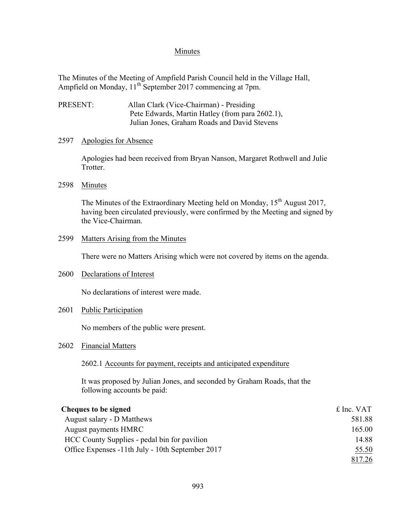## Minutes

The Minutes of the Meeting of Ampfield Parish Council held in the Village Hall, Ampfield on Monday, 11<sup>th</sup> September 2017 commencing at 7pm.

PRESENT: Allan Clark (Vice-Chairman) - Presiding Pete Edwards, Martin Hatley (from para 2602.1), Julian Jones, Graham Roads and David Stevens

### 2597 Apologies for Absence

Apologies had been received from Bryan Nanson, Margaret Rothwell and Julie Trotter.

## 2598 Minutes

The Minutes of the Extraordinary Meeting held on Monday,  $15<sup>th</sup>$  August 2017, having been circulated previously, were confirmed by the Meeting and signed by the Vice-Chairman.

### 2599 Matters Arising from the Minutes

There were no Matters Arising which were not covered by items on the agenda.

#### 2600 Declarations of Interest

No declarations of interest were made.

## 2601 Public Participation

No members of the public were present.

2602 Financial Matters

#### 2602.1 Accounts for payment, receipts and anticipated expenditure

It was proposed by Julian Jones, and seconded by Graham Roads, that the following accounts be paid:

| Cheques to be signed                             | £ Inc. VAT |
|--------------------------------------------------|------------|
| August salary - D Matthews                       | 581.88     |
| August payments HMRC                             | 165.00     |
| HCC County Supplies - pedal bin for pavilion     | 14.88      |
| Office Expenses -11th July - 10th September 2017 | 55.50      |
|                                                  | 817.26     |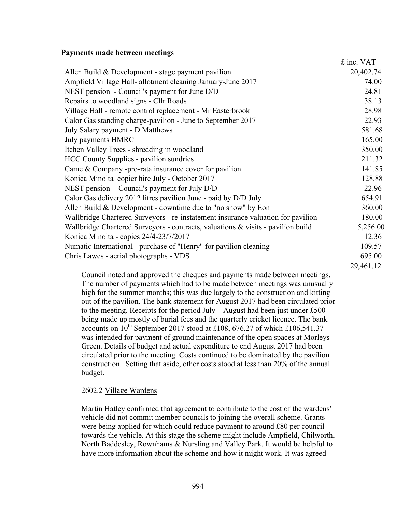#### **Payments made between meetings**

| Allen Build $& Development - stage payment\h$<br>Ampfield Village Hall- allotment cleaning January-June 2017<br>NEST pension - Council's payment for June D/D<br>Repairs to woodland signs - Cllr Roads<br>Village Hall - remote control replacement - Mr Easterbrook<br>Calor Gas standing charge-pavilion - June to September 2017<br>July Salary payment - D Matthews<br>July payments HMRC<br>Itchen Valley Trees - shredding in woodland<br><b>HCC County Supplies - pavilion sundries</b><br>Came & Company -pro-rata insurance cover for pavilion<br>Konica Minolta copier hire July - October 2017<br>NEST pension - Council's payment for July D/D<br>Calor Gas delivery 2012 litres pavilion June - paid by D/D July<br>Allen Build $& Development - downstream$ - downtime due to "no show" by Eon<br>Wallbridge Chartered Surveyors - re-instatement insurance valuation for pavilion<br>Wallbridge Chartered Surveyors - contracts, valuations $\&$ visits - pavilion build<br>Konica Minolta - copies 24/4-23/7/2017<br>Numatic International - purchase of "Henry" for pavilion cleaning |                                        | £ inc. VAT |
|---------------------------------------------------------------------------------------------------------------------------------------------------------------------------------------------------------------------------------------------------------------------------------------------------------------------------------------------------------------------------------------------------------------------------------------------------------------------------------------------------------------------------------------------------------------------------------------------------------------------------------------------------------------------------------------------------------------------------------------------------------------------------------------------------------------------------------------------------------------------------------------------------------------------------------------------------------------------------------------------------------------------------------------------------------------------------------------------------------|----------------------------------------|------------|
|                                                                                                                                                                                                                                                                                                                                                                                                                                                                                                                                                                                                                                                                                                                                                                                                                                                                                                                                                                                                                                                                                                         |                                        | 20,402.74  |
|                                                                                                                                                                                                                                                                                                                                                                                                                                                                                                                                                                                                                                                                                                                                                                                                                                                                                                                                                                                                                                                                                                         |                                        | 74.00      |
|                                                                                                                                                                                                                                                                                                                                                                                                                                                                                                                                                                                                                                                                                                                                                                                                                                                                                                                                                                                                                                                                                                         |                                        | 24.81      |
|                                                                                                                                                                                                                                                                                                                                                                                                                                                                                                                                                                                                                                                                                                                                                                                                                                                                                                                                                                                                                                                                                                         |                                        | 38.13      |
|                                                                                                                                                                                                                                                                                                                                                                                                                                                                                                                                                                                                                                                                                                                                                                                                                                                                                                                                                                                                                                                                                                         |                                        | 28.98      |
|                                                                                                                                                                                                                                                                                                                                                                                                                                                                                                                                                                                                                                                                                                                                                                                                                                                                                                                                                                                                                                                                                                         |                                        | 22.93      |
|                                                                                                                                                                                                                                                                                                                                                                                                                                                                                                                                                                                                                                                                                                                                                                                                                                                                                                                                                                                                                                                                                                         |                                        | 581.68     |
|                                                                                                                                                                                                                                                                                                                                                                                                                                                                                                                                                                                                                                                                                                                                                                                                                                                                                                                                                                                                                                                                                                         |                                        | 165.00     |
|                                                                                                                                                                                                                                                                                                                                                                                                                                                                                                                                                                                                                                                                                                                                                                                                                                                                                                                                                                                                                                                                                                         |                                        | 350.00     |
|                                                                                                                                                                                                                                                                                                                                                                                                                                                                                                                                                                                                                                                                                                                                                                                                                                                                                                                                                                                                                                                                                                         |                                        | 211.32     |
|                                                                                                                                                                                                                                                                                                                                                                                                                                                                                                                                                                                                                                                                                                                                                                                                                                                                                                                                                                                                                                                                                                         |                                        | 141.85     |
|                                                                                                                                                                                                                                                                                                                                                                                                                                                                                                                                                                                                                                                                                                                                                                                                                                                                                                                                                                                                                                                                                                         |                                        | 128.88     |
|                                                                                                                                                                                                                                                                                                                                                                                                                                                                                                                                                                                                                                                                                                                                                                                                                                                                                                                                                                                                                                                                                                         |                                        | 22.96      |
|                                                                                                                                                                                                                                                                                                                                                                                                                                                                                                                                                                                                                                                                                                                                                                                                                                                                                                                                                                                                                                                                                                         |                                        | 654.91     |
|                                                                                                                                                                                                                                                                                                                                                                                                                                                                                                                                                                                                                                                                                                                                                                                                                                                                                                                                                                                                                                                                                                         |                                        | 360.00     |
|                                                                                                                                                                                                                                                                                                                                                                                                                                                                                                                                                                                                                                                                                                                                                                                                                                                                                                                                                                                                                                                                                                         |                                        | 180.00     |
|                                                                                                                                                                                                                                                                                                                                                                                                                                                                                                                                                                                                                                                                                                                                                                                                                                                                                                                                                                                                                                                                                                         |                                        | 5,256.00   |
|                                                                                                                                                                                                                                                                                                                                                                                                                                                                                                                                                                                                                                                                                                                                                                                                                                                                                                                                                                                                                                                                                                         |                                        | 12.36      |
|                                                                                                                                                                                                                                                                                                                                                                                                                                                                                                                                                                                                                                                                                                                                                                                                                                                                                                                                                                                                                                                                                                         |                                        | 109.57     |
|                                                                                                                                                                                                                                                                                                                                                                                                                                                                                                                                                                                                                                                                                                                                                                                                                                                                                                                                                                                                                                                                                                         | Chris Lawes - aerial photographs - VDS | 695.00     |

29,461.12

Council noted and approved the cheques and payments made between meetings. The number of payments which had to be made between meetings was unusually high for the summer months; this was due largely to the construction and kitting – out of the pavilion. The bank statement for August 2017 had been circulated prior to the meeting. Receipts for the period July – August had been just under £500 being made up mostly of burial fees and the quarterly cricket licence. The bank accounts on  $10^{th}$  September 2017 stood at £108, 676.27 of which £106,541.37 was intended for payment of ground maintenance of the open spaces at Morleys Green. Details of budget and actual expenditure to end August 2017 had been circulated prior to the meeting. Costs continued to be dominated by the pavilion construction. Setting that aside, other costs stood at less than 20% of the annual budget.

## 2602.2 Village Wardens

Martin Hatley confirmed that agreement to contribute to the cost of the wardens' vehicle did not commit member councils to joining the overall scheme. Grants were being applied for which could reduce payment to around £80 per council towards the vehicle. At this stage the scheme might include Ampfield, Chilworth, North Baddesley, Rownhams & Nursling and Valley Park. It would be helpful to have more information about the scheme and how it might work. It was agreed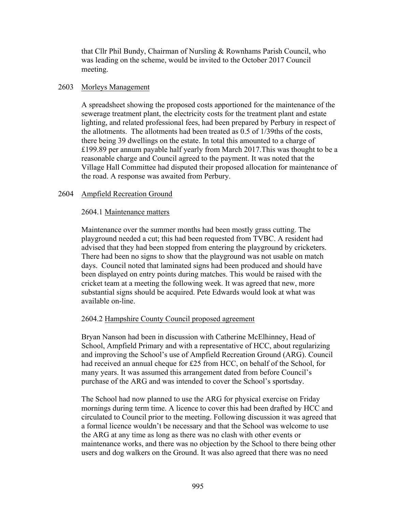that Cllr Phil Bundy, Chairman of Nursling & Rownhams Parish Council, who was leading on the scheme, would be invited to the October 2017 Council meeting.

## 2603 Morleys Management

A spreadsheet showing the proposed costs apportioned for the maintenance of the sewerage treatment plant, the electricity costs for the treatment plant and estate lighting, and related professional fees, had been prepared by Perbury in respect of the allotments. The allotments had been treated as 0.5 of 1/39ths of the costs, there being 39 dwellings on the estate. In total this amounted to a charge of £199.89 per annum payable half yearly from March 2017.This was thought to be a reasonable charge and Council agreed to the payment. It was noted that the Village Hall Committee had disputed their proposed allocation for maintenance of the road. A response was awaited from Perbury.

## 2604 Ampfield Recreation Ground

### 2604.1 Maintenance matters

Maintenance over the summer months had been mostly grass cutting. The playground needed a cut; this had been requested from TVBC. A resident had advised that they had been stopped from entering the playground by cricketers. There had been no signs to show that the playground was not usable on match days. Council noted that laminated signs had been produced and should have been displayed on entry points during matches. This would be raised with the cricket team at a meeting the following week. It was agreed that new, more substantial signs should be acquired. Pete Edwards would look at what was available on-line.

## 2604.2 Hampshire County Council proposed agreement

Bryan Nanson had been in discussion with Catherine McElhinney, Head of School, Ampfield Primary and with a representative of HCC, about regularizing and improving the School's use of Ampfield Recreation Ground (ARG). Council had received an annual cheque for £25 from HCC, on behalf of the School, for many years. It was assumed this arrangement dated from before Council's purchase of the ARG and was intended to cover the School's sportsday.

The School had now planned to use the ARG for physical exercise on Friday mornings during term time. A licence to cover this had been drafted by HCC and circulated to Council prior to the meeting. Following discussion it was agreed that a formal licence wouldn't be necessary and that the School was welcome to use the ARG at any time as long as there was no clash with other events or maintenance works, and there was no objection by the School to there being other users and dog walkers on the Ground. It was also agreed that there was no need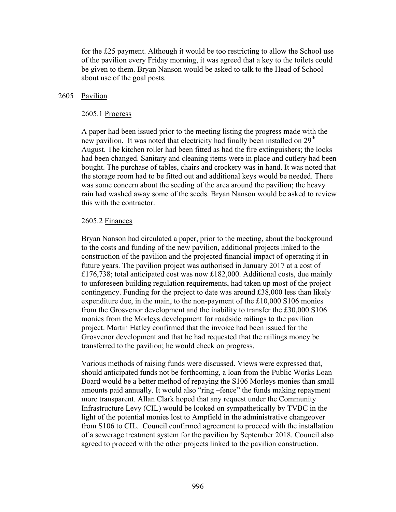for the £25 payment. Although it would be too restricting to allow the School use of the pavilion every Friday morning, it was agreed that a key to the toilets could be given to them. Bryan Nanson would be asked to talk to the Head of School about use of the goal posts.

### 2605 Pavilion

#### 2605.1 Progress

A paper had been issued prior to the meeting listing the progress made with the new pavilion. It was noted that electricity had finally been installed on 29<sup>th</sup> August. The kitchen roller had been fitted as had the fire extinguishers; the locks had been changed. Sanitary and cleaning items were in place and cutlery had been bought. The purchase of tables, chairs and crockery was in hand. It was noted that the storage room had to be fitted out and additional keys would be needed. There was some concern about the seeding of the area around the pavilion; the heavy rain had washed away some of the seeds. Bryan Nanson would be asked to review this with the contractor.

### 2605.2 Finances

Bryan Nanson had circulated a paper, prior to the meeting, about the background to the costs and funding of the new pavilion, additional projects linked to the construction of the pavilion and the projected financial impact of operating it in future years. The pavilion project was authorised in January 2017 at a cost of £176,738; total anticipated cost was now £182,000. Additional costs, due mainly to unforeseen building regulation requirements, had taken up most of the project contingency. Funding for the project to date was around £38,000 less than likely expenditure due, in the main, to the non-payment of the £10,000 S106 monies from the Grosvenor development and the inability to transfer the £30,000 S106 monies from the Morleys development for roadside railings to the pavilion project. Martin Hatley confirmed that the invoice had been issued for the Grosvenor development and that he had requested that the railings money be transferred to the pavilion; he would check on progress.

Various methods of raising funds were discussed. Views were expressed that, should anticipated funds not be forthcoming, a loan from the Public Works Loan Board would be a better method of repaying the S106 Morleys monies than small amounts paid annually. It would also "ring –fence" the funds making repayment more transparent. Allan Clark hoped that any request under the Community Infrastructure Levy (CIL) would be looked on sympathetically by TVBC in the light of the potential monies lost to Ampfield in the administrative changeover from S106 to CIL. Council confirmed agreement to proceed with the installation of a sewerage treatment system for the pavilion by September 2018. Council also agreed to proceed with the other projects linked to the pavilion construction.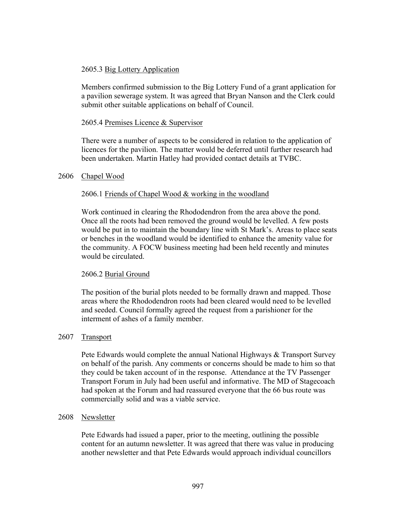## 2605.3 Big Lottery Application

Members confirmed submission to the Big Lottery Fund of a grant application for a pavilion sewerage system. It was agreed that Bryan Nanson and the Clerk could submit other suitable applications on behalf of Council.

## 2605.4 Premises Licence & Supervisor

There were a number of aspects to be considered in relation to the application of licences for the pavilion. The matter would be deferred until further research had been undertaken. Martin Hatley had provided contact details at TVBC.

### 2606 Chapel Wood

## 2606.1 Friends of Chapel Wood & working in the woodland

Work continued in clearing the Rhododendron from the area above the pond. Once all the roots had been removed the ground would be levelled. A few posts would be put in to maintain the boundary line with St Mark's. Areas to place seats or benches in the woodland would be identified to enhance the amenity value for the community. A FOCW business meeting had been held recently and minutes would be circulated.

## 2606.2 Burial Ground

The position of the burial plots needed to be formally drawn and mapped. Those areas where the Rhododendron roots had been cleared would need to be levelled and seeded. Council formally agreed the request from a parishioner for the interment of ashes of a family member.

## 2607 Transport

Pete Edwards would complete the annual National Highways & Transport Survey on behalf of the parish. Any comments or concerns should be made to him so that they could be taken account of in the response. Attendance at the TV Passenger Transport Forum in July had been useful and informative. The MD of Stagecoach had spoken at the Forum and had reassured everyone that the 66 bus route was commercially solid and was a viable service.

#### 2608 Newsletter

Pete Edwards had issued a paper, prior to the meeting, outlining the possible content for an autumn newsletter. It was agreed that there was value in producing another newsletter and that Pete Edwards would approach individual councillors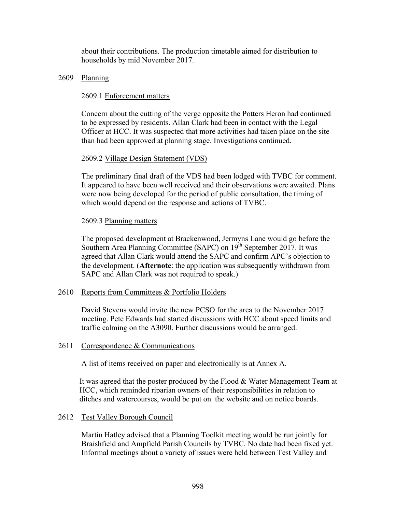about their contributions. The production timetable aimed for distribution to households by mid November 2017.

## 2609 Planning

### 2609.1 Enforcement matters

Concern about the cutting of the verge opposite the Potters Heron had continued to be expressed by residents. Allan Clark had been in contact with the Legal Officer at HCC. It was suspected that more activities had taken place on the site than had been approved at planning stage. Investigations continued.

## 2609.2 Village Design Statement (VDS)

The preliminary final draft of the VDS had been lodged with TVBC for comment. It appeared to have been well received and their observations were awaited. Plans were now being developed for the period of public consultation, the timing of which would depend on the response and actions of TVBC.

### 2609.3 Planning matters

The proposed development at Brackenwood, Jermyns Lane would go before the Southern Area Planning Committee (SAPC) on 19<sup>th</sup> September 2017. It was agreed that Allan Clark would attend the SAPC and confirm APC's objection to the development. (**Afternote**: the application was subsequently withdrawn from SAPC and Allan Clark was not required to speak.)

#### 2610 Reports from Committees & Portfolio Holders

David Stevens would invite the new PCSO for the area to the November 2017 meeting. Pete Edwards had started discussions with HCC about speed limits and traffic calming on the A3090. Further discussions would be arranged.

#### 2611 Correspondence & Communications

A list of items received on paper and electronically is at Annex A.

It was agreed that the poster produced by the Flood & Water Management Team at HCC, which reminded riparian owners of their responsibilities in relation to ditches and watercourses, would be put on the website and on notice boards.

#### 2612 Test Valley Borough Council

Martin Hatley advised that a Planning Toolkit meeting would be run jointly for Braishfield and Ampfield Parish Councils by TVBC. No date had been fixed yet. Informal meetings about a variety of issues were held between Test Valley and